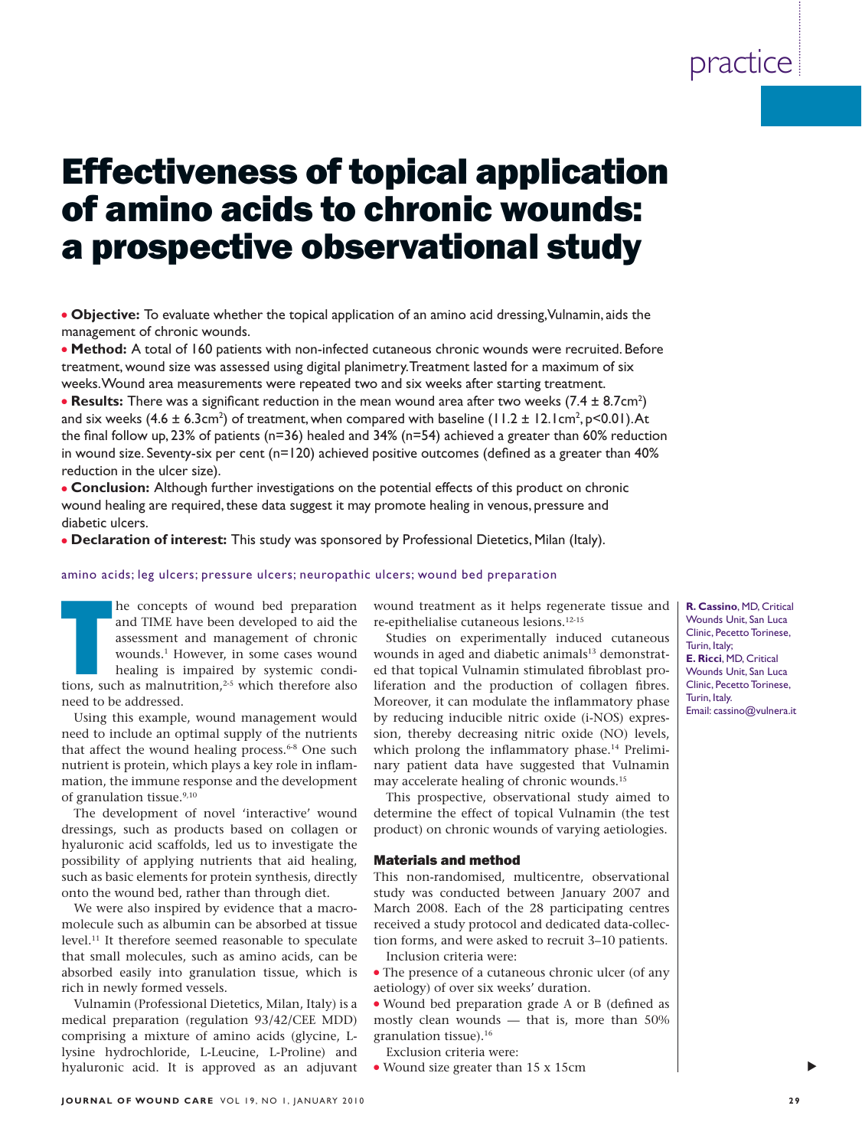# Effectiveness of topical application of amino acids to chronic wounds: a prospective observational study

● **Objective:** To evaluate whether the topical application of an amino acid dressing, Vulnamin, aids the management of chronic wounds.

● **Method:** A total of 160 patients with non-infected cutaneous chronic wounds were recruited. Before treatment, wound size was assessed using digital planimetry. Treatment lasted for a maximum of six weeks. Wound area measurements were repeated two and six weeks after starting treatment.

• **Results:** There was a significant reduction in the mean wound area after two weeks  $(7.4 \pm 8.7 \text{cm}^2)$ and six weeks (4.6  $\pm$  6.3cm<sup>2</sup>) of treatment, when compared with baseline (11.2  $\pm$  12.1cm<sup>2</sup>, p<0.01).At the final follow up, 23% of patients ( $n=36$ ) healed and 34% ( $n=54$ ) achieved a greater than 60% reduction in wound size. Seventy-six per cent ( $n=120$ ) achieved positive outcomes (defined as a greater than 40% reduction in the ulcer size).

● **Conclusion:** Although further investigations on the potential effects of this product on chronic wound healing are required, these data suggest it may promote healing in venous, pressure and diabetic ulcers.

● **Declaration of interest:** This study was sponsored by Professional Dietetics, Milan (Italy).

#### amino acids; leg ulcers; pressure ulcers; neuropathic ulcers; wound bed preparation

he concepts of wound bed preparation and TIME have been developed to aid the assessment and management of chronic wounds.<sup>1</sup> However, in some cases wound healing is impaired by systemic conditions, such as malnutrition,<sup>2-</sup> and TIME have been developed to aid the assessment and management of chronic wounds.1 However, in some cases wound healing is impaired by systemic condineed to be addressed.

Using this example, wound management would need to include an optimal supply of the nutrients that affect the wound healing process.<sup>6-8</sup> One such nutrient is protein, which plays a key role in inflammation, the immune response and the development of granulation tissue.<sup>9,10</sup>

The development of novel 'interactive' wound dressings, such as products based on collagen or hyaluronic acid scaffolds, led us to investigate the possibility of applying nutrients that aid healing, such as basic elements for protein synthesis, directly onto the wound bed, rather than through diet.

We were also inspired by evidence that a macromolecule such as albumin can be absorbed at tissue level.11 It therefore seemed reasonable to speculate that small molecules, such as amino acids, can be absorbed easily into granulation tissue, which is rich in newly formed vessels.

Vulnamin (Professional Dietetics, Milan, Italy) is a medical preparation (regulation 93/42/CEE MDD) comprising a mixture of amino acids (glycine, Llysine hydrochloride, L-Leucine, L-Proline) and hyaluronic acid. It is approved as an adjuvant wound treatment as it helps regenerate tissue and re-epithelialise cutaneous lesions.12-15

Studies on experimentally induced cutaneous wounds in aged and diabetic animals<sup>13</sup> demonstrated that topical Vulnamin stimulated fibroblast proliferation and the production of collagen fibres. Moreover, it can modulate the inflammatory phase by reducing inducible nitric oxide (i-NOS) expression, thereby decreasing nitric oxide (NO) levels, which prolong the inflammatory phase.<sup>14</sup> Preliminary patient data have suggested that Vulnamin may accelerate healing of chronic wounds.<sup>15</sup>

This prospective, observational study aimed to determine the effect of topical Vulnamin (the test product) on chronic wounds of varying aetiologies.

### Materials and method

This non-randomised, multicentre, observational study was conducted between January 2007 and March 2008. Each of the 28 participating centres received a study protocol and dedicated data-collection forms, and were asked to recruit 3–10 patients. Inclusion criteria were:

• The presence of a cutaneous chronic ulcer (of any aetiology) of over six weeks' duration.

• Wound bed preparation grade A or B (defined as mostly clean wounds — that is, more than 50% granulation tissue).16

Exclusion criteria were:

● Wound size greater than 15 x 15cm

**R. Cassino**, MD, Critical Wounds Unit, San Luca Clinic, Pecetto Torinese, Turin, Italy; **E. Ricci**, MD, Critical Wounds Unit, San Luca Clinic, Pecetto Torinese, Turin, Italy. Email: cassino@vulnera.it

▲

# practice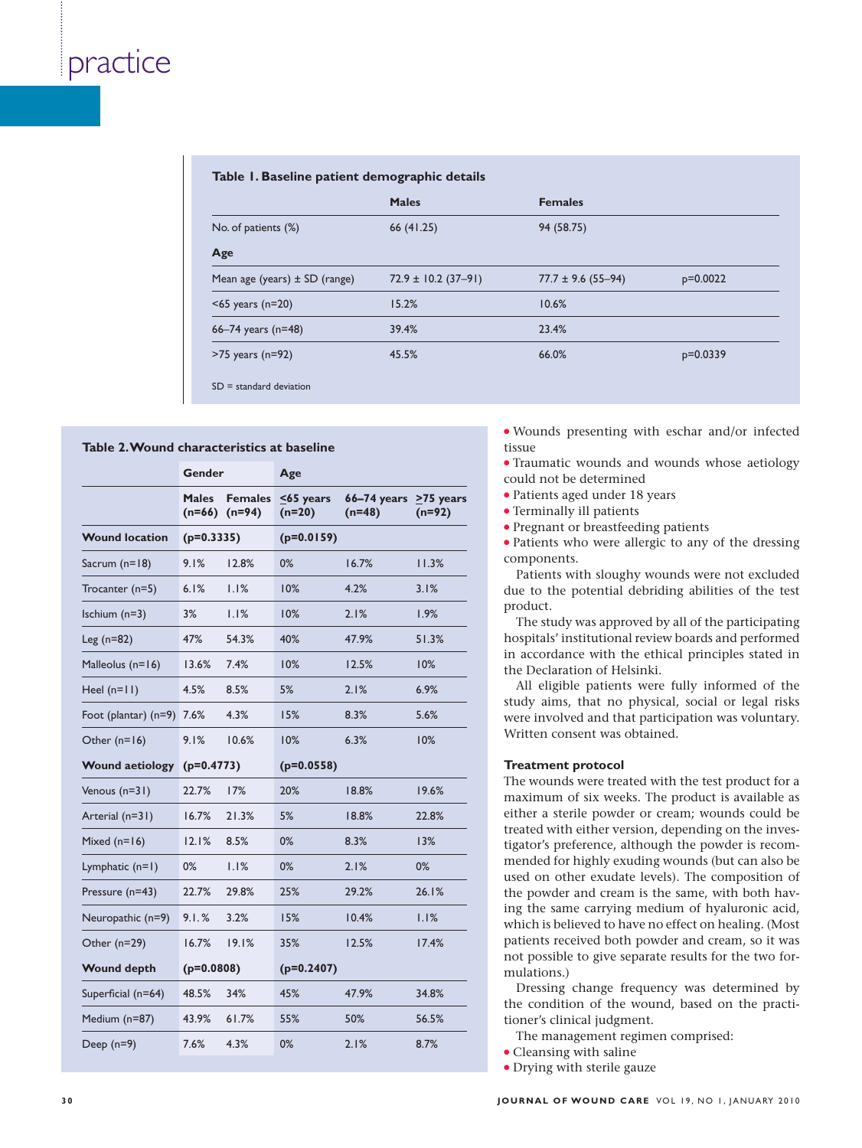|  |  |  |  | Table 1. Baseline patient demographic details |
|--|--|--|--|-----------------------------------------------|
|--|--|--|--|-----------------------------------------------|

|                                   | <b>Males</b>            | <b>Females</b>         |            |
|-----------------------------------|-------------------------|------------------------|------------|
| No. of patients (%)               | 66 (41.25)              | 94 (58.75)             |            |
| Age                               |                         |                        |            |
| Mean age (years) $\pm$ SD (range) | $72.9 \pm 10.2$ (37-91) | $77.7 \pm 9.6$ (55-94) | $p=0.0022$ |
| $<$ 65 years (n=20)               | 15.2%                   | 10.6%                  |            |
| 66–74 years ( $n=48$ )            | 39.4%                   | 23.4%                  |            |
| $>75$ years (n=92)                | 45.5%                   | 66.0%                  | $p=0.0339$ |

#### **Table 2. Wound characteristics at baseline**

|                           | Gender                   |                            | Age                    |                                           |          |
|---------------------------|--------------------------|----------------------------|------------------------|-------------------------------------------|----------|
|                           | <b>Males</b><br>$(n=66)$ | <b>Females</b><br>$(n=94)$ | $55$ years<br>$(n=20)$ | $66-74$ years $\geq 75$ years<br>$(n=48)$ | $(n=92)$ |
| <b>Wound location</b>     | $(p=0.3335)$             |                            | $(p=0.0159)$           |                                           |          |
| Sacrum (n=18)             | 9.1%                     | 12.8%                      | 0%                     | 16.7%                                     | 11.3%    |
| Trocanter (n=5)           | 6.1%                     | 1.1%                       | 10%                    | 4.2%                                      | 3.1%     |
| Ischium $(n=3)$           | 3%                       | 1.1%                       | 10%                    | 2.1%                                      | 1.9%     |
| Leg $(n=82)$              | 47%                      | 54.3%                      | 40%                    | 47.9%                                     | 51.3%    |
| Malleolus (n=16)          | 13.6%                    | 7.4%                       | 10%                    | 12.5%                                     | 10%      |
| Heel $(n=11)$             | 4.5%                     | 8.5%                       | 5%                     | 2.1%                                      | 6.9%     |
| Foot (plantar) (n=9) 7.6% |                          | 4.3%                       | 15%                    | 8.3%                                      | 5.6%     |
| Other $(n=16)$            | 9.1%                     | 10.6%                      | 10%                    | 6.3%                                      | 10%      |
| <b>Wound aetiology</b>    | $(p=0.4773)$             |                            | $(p=0.0558)$           |                                           |          |
| Venous $(n=31)$           | 22.7%                    | 17%                        | 20%                    | 18.8%                                     | 19.6%    |
| Arterial (n=31)           | 16.7%                    | 21.3%                      | 5%                     | 18.8%                                     | 22.8%    |
| Mixed $(n=16)$            | 12.1%                    | 8.5%                       | 0%                     | 8.3%                                      | 13%      |
| Lymphatic $(n=1)$         | 0%                       | 1.1%                       | $0\%$                  | 2.1%                                      | 0%       |
| Pressure (n=43)           | 22.7%                    | 29.8%                      | 25%                    | 29.2%                                     | 26.1%    |
| Neuropathic (n=9)         | 9.1.%                    | 3.2%                       | 15%                    | 10.4%                                     | 1.1%     |
| Other (n=29)              | 16.7%                    | 19.1%                      | 35%                    | 12.5%                                     | 17.4%    |
| <b>Wound depth</b>        | $(p=0.0808)$             |                            | $(p=0.2407)$           |                                           |          |
| Superficial (n=64)        | 48.5%                    | 34%                        | 45%                    | 47.9%                                     | 34.8%    |
| Medium (n=87)             | 43.9%                    | 61.7%                      | 55%                    | 50%                                       | 56.5%    |
| Deep $(n=9)$              | 7.6%                     | 4.3%                       | 0%                     | 2.1%                                      | 8.7%     |

● Wounds presenting with eschar and/or infected tissue

● Traumatic wounds and wounds whose aetiology could not be determined

- Patients aged under 18 years
- Terminally ill patients
- Pregnant or breastfeeding patients

• Patients who were allergic to any of the dressing components.

Patients with sloughy wounds were not excluded due to the potential debriding abilities of the test product.

The study was approved by all of the participating hospitals' institutional review boards and performed in accordance with the ethical principles stated in the Declaration of Helsinki.

All eligible patients were fully informed of the study aims, that no physical, social or legal risks were involved and that participation was voluntary. Written consent was obtained.

### **Treatment protocol**

The wounds were treated with the test product for a maximum of six weeks. The product is available as either a sterile powder or cream; wounds could be treated with either version, depending on the investigator's preference, although the powder is recommended for highly exuding wounds (but can also be used on other exudate levels). The composition of the powder and cream is the same, with both having the same carrying medium of hyaluronic acid, which is believed to have no effect on healing. (Most patients received both powder and cream, so it was not possible to give separate results for the two formulations.)

Dressing change frequency was determined by the condition of the wound, based on the practitioner's clinical judgment.

The management regimen comprised:

- Cleansing with saline
- Drying with sterile gauze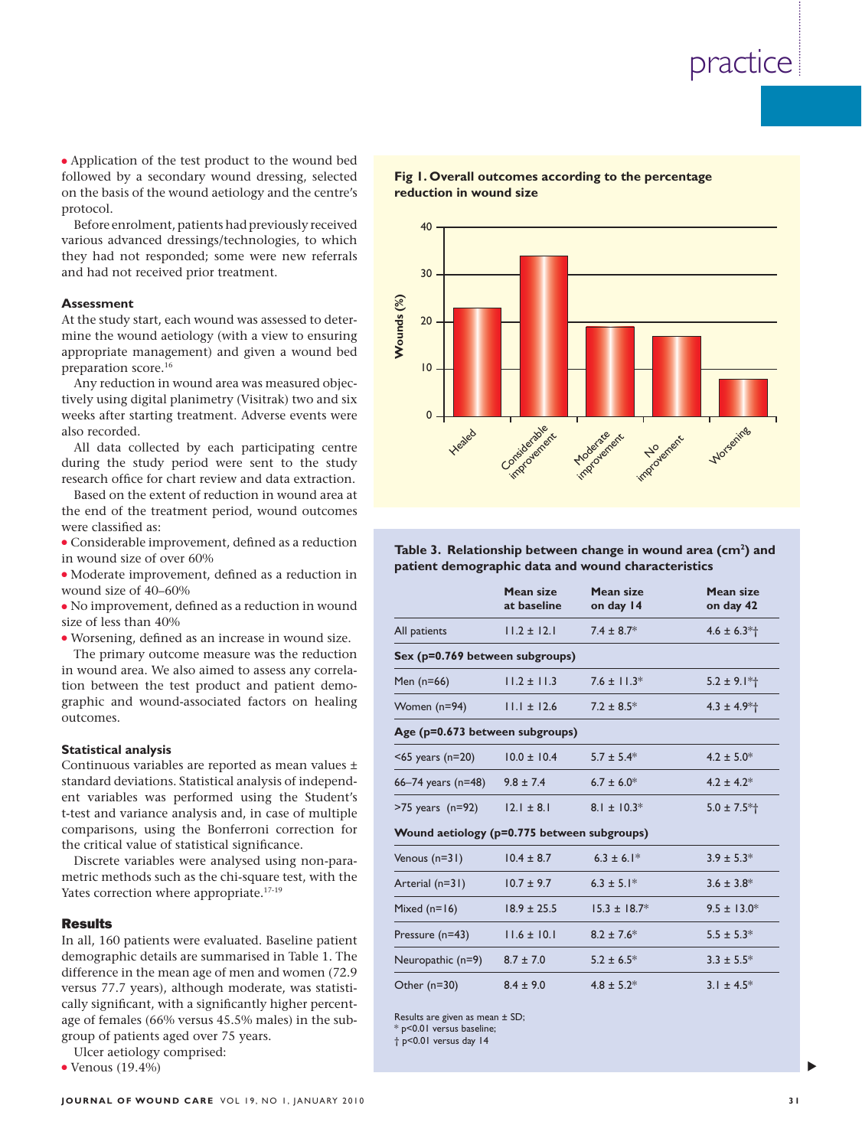• Application of the test product to the wound bed followed by a secondary wound dressing, selected on the basis of the wound aetiology and the centre's protocol.

Before enrolment, patients had previously received various advanced dressings/technologies, to which they had not responded; some were new referrals and had not received prior treatment.

#### **Assessment**

- $\bullet$  Considerable improvement, defined as a reduction in wound size of over 60%
- Moderate improvement, defined as a reduction in wound size of 40–60%

### **Statistical analysis**

### **Results**



| Assessment<br>At the study start, each wound was assessed to deter-<br>mine the wound aetiology (with a view to ensuring<br>appropriate management) and given a wound bed<br>preparation score. <sup>16</sup><br>Any reduction in wound area was measured objec-<br>tively using digital planimetry (Visitrak) two and six<br>weeks after starting treatment. Adverse events were<br>also recorded.<br>All data collected by each participating centre<br>during the study period were sent to the study<br>research office for chart review and data extraction.<br>Based on the extent of reduction in wound area at<br>the end of the treatment period, wound outcomes<br>were classified as: | Wounds (%)<br>20<br>$ 0\rangle$<br>$\mathbf 0$<br>Heated                                                                        | Considerable t           | impoundance.<br>improvement | Morsening                     |     |  |
|--------------------------------------------------------------------------------------------------------------------------------------------------------------------------------------------------------------------------------------------------------------------------------------------------------------------------------------------------------------------------------------------------------------------------------------------------------------------------------------------------------------------------------------------------------------------------------------------------------------------------------------------------------------------------------------------------|---------------------------------------------------------------------------------------------------------------------------------|--------------------------|-----------------------------|-------------------------------|-----|--|
| • Considerable improvement, defined as a reduction<br>in wound size of over 60%                                                                                                                                                                                                                                                                                                                                                                                                                                                                                                                                                                                                                  | Table 3. Relationship between change in wound area (cm <sup>2</sup> ) and<br>patient demographic data and wound characteristics |                          |                             |                               |     |  |
| · Moderate improvement, defined as a reduction in<br>wound size of 40-60%<br>• No improvement, defined as a reduction in wound                                                                                                                                                                                                                                                                                                                                                                                                                                                                                                                                                                   |                                                                                                                                 | Mean size<br>at baseline | Mean size<br>on day 14      | <b>Mean size</b><br>on day 42 |     |  |
| size of less than 40%<br>· Worsening, defined as an increase in wound size.                                                                                                                                                                                                                                                                                                                                                                                                                                                                                                                                                                                                                      | All patients                                                                                                                    | $11.2 \pm 12.1$          | $7.4 \pm 8.7*$              | $4.6 \pm 6.3*$                |     |  |
| The primary outcome measure was the reduction                                                                                                                                                                                                                                                                                                                                                                                                                                                                                                                                                                                                                                                    | Sex (p=0.769 between subgroups)                                                                                                 |                          |                             |                               |     |  |
| in wound area. We also aimed to assess any correla-<br>tion between the test product and patient demo-                                                                                                                                                                                                                                                                                                                                                                                                                                                                                                                                                                                           | Men $(n=66)$                                                                                                                    | $11.2 \pm 11.3$          | $7.6 \pm 11.3*$             | $5.2 \pm 9.1*$                |     |  |
| graphic and wound-associated factors on healing                                                                                                                                                                                                                                                                                                                                                                                                                                                                                                                                                                                                                                                  | Women (n=94)                                                                                                                    | $11.1 \pm 12.6$          | $7.2 \pm 8.5^*$             | $4.3 \pm 4.9*$                |     |  |
| outcomes.                                                                                                                                                                                                                                                                                                                                                                                                                                                                                                                                                                                                                                                                                        | Age (p=0.673 between subgroups)                                                                                                 |                          |                             |                               |     |  |
| <b>Statistical analysis</b><br>Continuous variables are reported as mean values ±                                                                                                                                                                                                                                                                                                                                                                                                                                                                                                                                                                                                                | $<$ 65 years (n=20)                                                                                                             | $10.0 \pm 10.4$          | $5.7 \pm 5.4*$              | $4.2 \pm 5.0^*$               |     |  |
| standard deviations. Statistical analysis of independ-                                                                                                                                                                                                                                                                                                                                                                                                                                                                                                                                                                                                                                           | 66-74 years (n=48)                                                                                                              | $9.8 \pm 7.4$            | $6.7 \pm 6.0*$              | $4.2 \pm 4.2^*$               |     |  |
|                                                                                                                                                                                                                                                                                                                                                                                                                                                                                                                                                                                                                                                                                                  | $>75$ years (n=92)                                                                                                              | $12.1 \pm 8.1$           | $8.1 \pm 10.3*$             | $5.0 \pm 7.5*$                |     |  |
| ent variables was performed using the Student's<br>t-test and variance analysis and, in case of multiple<br>comparisons, using the Bonferroni correction for<br>the critical value of statistical significance.                                                                                                                                                                                                                                                                                                                                                                                                                                                                                  | Wound aetiology (p=0.775 between subgroups)                                                                                     |                          |                             |                               |     |  |
| Discrete variables were analysed using non-para-                                                                                                                                                                                                                                                                                                                                                                                                                                                                                                                                                                                                                                                 | Venous $(n=31)$                                                                                                                 | $10.4 \pm 8.7$           | $6.3 \pm 6.1*$              | $3.9 \pm 5.3*$                |     |  |
| metric methods such as the chi-square test, with the                                                                                                                                                                                                                                                                                                                                                                                                                                                                                                                                                                                                                                             | Arterial (n=31)                                                                                                                 | $10.7 \pm 9.7$           | $6.3 \pm 5.1*$              | $3.6 \pm 3.8$ *               | 3 I |  |
| Yates correction where appropriate. <sup>17-19</sup>                                                                                                                                                                                                                                                                                                                                                                                                                                                                                                                                                                                                                                             | Mixed $(n=16)$                                                                                                                  | $18.9 \pm 25.5$          | $15.3 \pm 18.7^*$           | $9.5 \pm 13.0^*$              |     |  |
| <b>Results</b><br>In all, 160 patients were evaluated. Baseline patient                                                                                                                                                                                                                                                                                                                                                                                                                                                                                                                                                                                                                          | Pressure (n=43)                                                                                                                 | $11.6 \pm 10.1$          | $8.2 \pm 7.6^*$             | $5.5 \pm 5.3*$                |     |  |
| demographic details are summarised in Table 1. The                                                                                                                                                                                                                                                                                                                                                                                                                                                                                                                                                                                                                                               | Neuropathic (n=9)                                                                                                               | $8.7 \pm 7.0$            | $5.2 \pm 6.5^*$             | $3.3 \pm 5.5^*$               |     |  |
| difference in the mean age of men and women (72.9<br>versus 77.7 years), although moderate, was statisti-<br>cally significant, with a significantly higher percent-<br>age of females (66% versus 45.5% males) in the sub-<br>group of patients aged over 75 years.<br>Ulcer aetiology comprised:<br>$\bullet$ Venous (19.4%)                                                                                                                                                                                                                                                                                                                                                                   | Other $(n=30)$<br>Results are given as mean ± SD;<br>* p<0.01 versus baseline;<br>† p<0.01 versus day 14                        | $8.4 \pm 9.0$            | $4.8 \pm 5.2^*$             | $3.1 \pm 4.5^*$               |     |  |
| JOURNAL OF WOUND CARE VOL 19, NO 1, JANUARY 2010                                                                                                                                                                                                                                                                                                                                                                                                                                                                                                                                                                                                                                                 |                                                                                                                                 |                          |                             |                               |     |  |

▲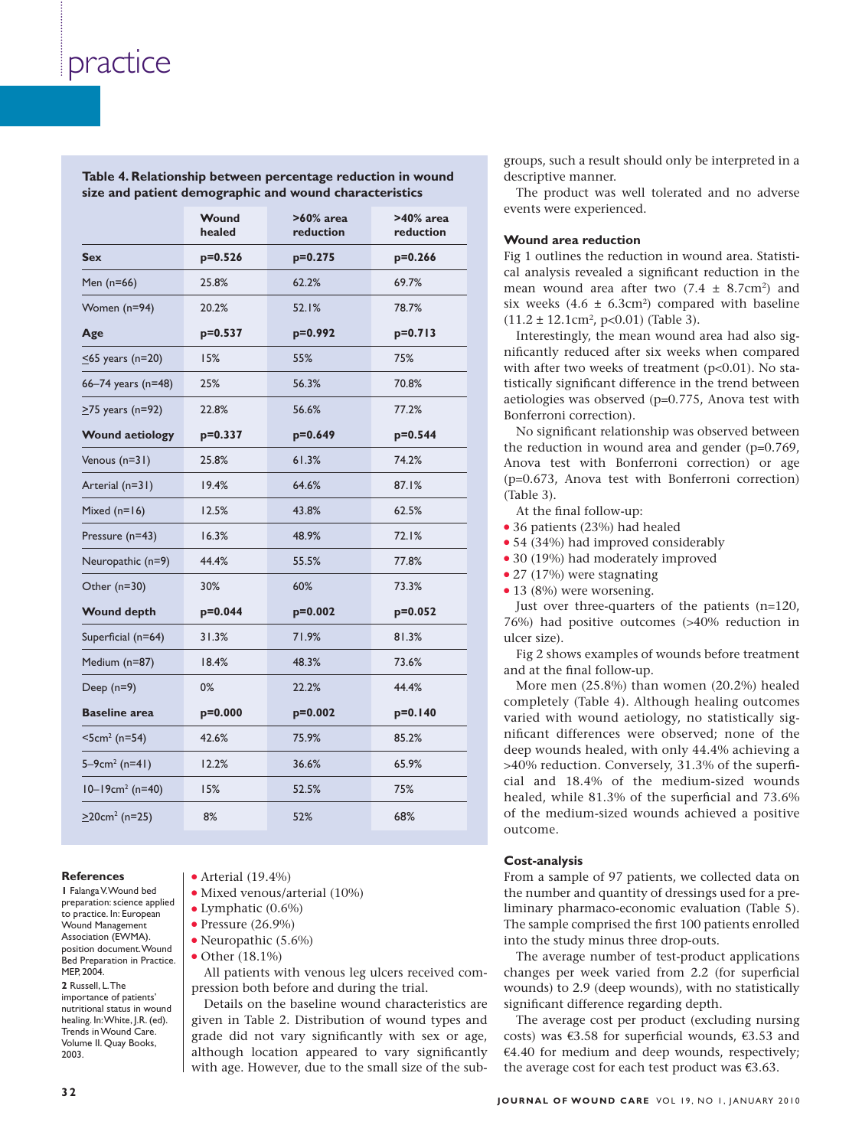| $s$ ize and patient demographic and wound characteristics |                 |                           |                           |  |  |
|-----------------------------------------------------------|-----------------|---------------------------|---------------------------|--|--|
|                                                           | Wound<br>healed | $>60\%$ area<br>reduction | $>40\%$ area<br>reduction |  |  |
| <b>Sex</b>                                                | $p=0.526$       | $p=0.275$                 | $p=0.266$                 |  |  |
| Men (n=66)                                                | 25.8%           | 62.2%                     | 69.7%                     |  |  |
| Women (n=94)                                              | 20.2%           | 52.1%                     | 78.7%                     |  |  |
| Age                                                       | $p = 0.537$     | p=0.992                   | $p=0.713$                 |  |  |
| $\leq$ 65 years (n=20)                                    | 15%             | 55%                       | 75%                       |  |  |
| 66-74 years (n=48)                                        | 25%             | 56.3%                     | 70.8%                     |  |  |
| $>75$ years (n=92)                                        | 22.8%           | 56.6%                     | 77.2%                     |  |  |
| <b>Wound aetiology</b>                                    | $p=0.337$       | $p=0.649$                 | $p = 0.544$               |  |  |
| Venous (n=31)                                             | 25.8%           | 61.3%                     | 74.2%                     |  |  |
| Arterial (n=31)                                           | 19.4%           | 64.6%                     | 87.1%                     |  |  |
| Mixed $(n=16)$                                            | 12.5%           | 43.8%                     | 62.5%                     |  |  |
| Pressure (n=43)                                           | 16.3%           | 48.9%                     | 72.1%                     |  |  |
| Neuropathic (n=9)                                         | 44.4%           | 55.5%                     | 77.8%                     |  |  |
| Other (n=30)                                              | 30%             | 60%                       | 73.3%                     |  |  |
| <b>Wound depth</b>                                        | $p=0.044$       | $p=0.002$                 | $p=0.052$                 |  |  |
| Superficial (n=64)                                        | 31.3%           | 71.9%                     | 81.3%                     |  |  |
| Medium (n=87)                                             | 18.4%           | 48.3%                     | 73.6%                     |  |  |
| Deep $(n=9)$                                              | 0%              | 22.2%                     | 44.4%                     |  |  |
| <b>Baseline area</b>                                      | $p=0.000$       | $p=0.002$                 | $p=0.140$                 |  |  |
| $<5cm2$ (n=54)                                            | 42.6%           | 75.9%                     | 85.2%                     |  |  |
| $5 - 9$ cm <sup>2</sup> (n=41)                            | 12.2%           | 36.6%                     | 65.9%                     |  |  |
| $10 - 19$ cm <sup>2</sup> (n=40)                          | 15%             | 52.5%                     | 75%                       |  |  |
| $\geq$ 20cm <sup>2</sup> (n=25)                           | 8%              | 52%                       | 68%                       |  |  |

**Table 4. Relationship between percentage reduction in wound size and patient demographic and wound characteristics**

#### **References**

**1** Falanga V. Wound bed preparation: science applied to practice. In: European Wound Management Association (EWMA). position document. Wound Bed Preparation in Practice. MEP, 2004. **2** Russell L. The importance of patients' nutritional status in wound healing. In: White, J.R. (ed). Trends in Wound Care. Volume II. Quay Books, 2003.

- $\bullet$  Arterial (19.4%)
- Mixed venous/arterial (10%)
- $\bullet$  Lymphatic (0.6%)
- $\bullet$  Pressure (26.9%)
- Neuropathic (5.6%)
- Other (18.1%)

All patients with venous leg ulcers received compression both before and during the trial.

Details on the baseline wound characteristics are given in Table 2. Distribution of wound types and grade did not vary significantly with sex or age, although location appeared to vary significantly with age. However, due to the small size of the subgroups, such a result should only be interpreted in a descriptive manner.

The product was well tolerated and no adverse events were experienced.

### **Wound area reduction**

Fig 1 outlines the reduction in wound area. Statistical analysis revealed a significant reduction in the mean wound area after two  $(7.4 \pm 8.7 \text{cm}^2)$  and six weeks  $(4.6 \pm 6.3 \text{cm}^2)$  compared with baseline  $(11.2 \pm 12.1 \text{cm}^2, \text{p} < 0.01)$  (Table 3).

Interestingly, the mean wound area had also significantly reduced after six weeks when compared with after two weeks of treatment (p<0.01). No statistically significant difference in the trend between aetiologies was observed (p=0.775, Anova test with Bonferroni correction).

No significant relationship was observed between the reduction in wound area and gender (p=0.769, Anova test with Bonferroni correction) or age (p=0.673, Anova test with Bonferroni correction) (Table 3).

At the final follow-up:

- 36 patients (23%) had healed
- 54 (34%) had improved considerably
- 30 (19%) had moderately improved
- 27 (17%) were stagnating
- $\bullet$  13 (8%) were worsening.

Just over three-quarters of the patients (n=120, 76%) had positive outcomes (>40% reduction in ulcer size).

Fig 2 shows examples of wounds before treatment and at the final follow-up.

More men (25.8%) than women (20.2%) healed completely (Table 4). Although healing outcomes varied with wound aetiology, no statistically significant differences were observed; none of the deep wounds healed, with only 44.4% achieving a >40% reduction. Conversely, 31.3% of the superficial and 18.4% of the medium-sized wounds healed, while 81.3% of the superficial and 73.6% of the medium-sized wounds achieved a positive outcome.

### **Cost-analysis**

From a sample of 97 patients, we collected data on the number and quantity of dressings used for a preliminary pharmaco-economic evaluation (Table 5). The sample comprised the first 100 patients enrolled into the study minus three drop-outs.

The average number of test-product applications changes per week varied from 2.2 (for superficial wounds) to 2.9 (deep wounds), with no statistically significant difference regarding depth.

The average cost per product (excluding nursing costs) was  $\epsilon$ 3.58 for superficial wounds,  $\epsilon$ 3.53 and  $€4.40$  for medium and deep wounds, respectively; the average cost for each test product was  $€3.63$ .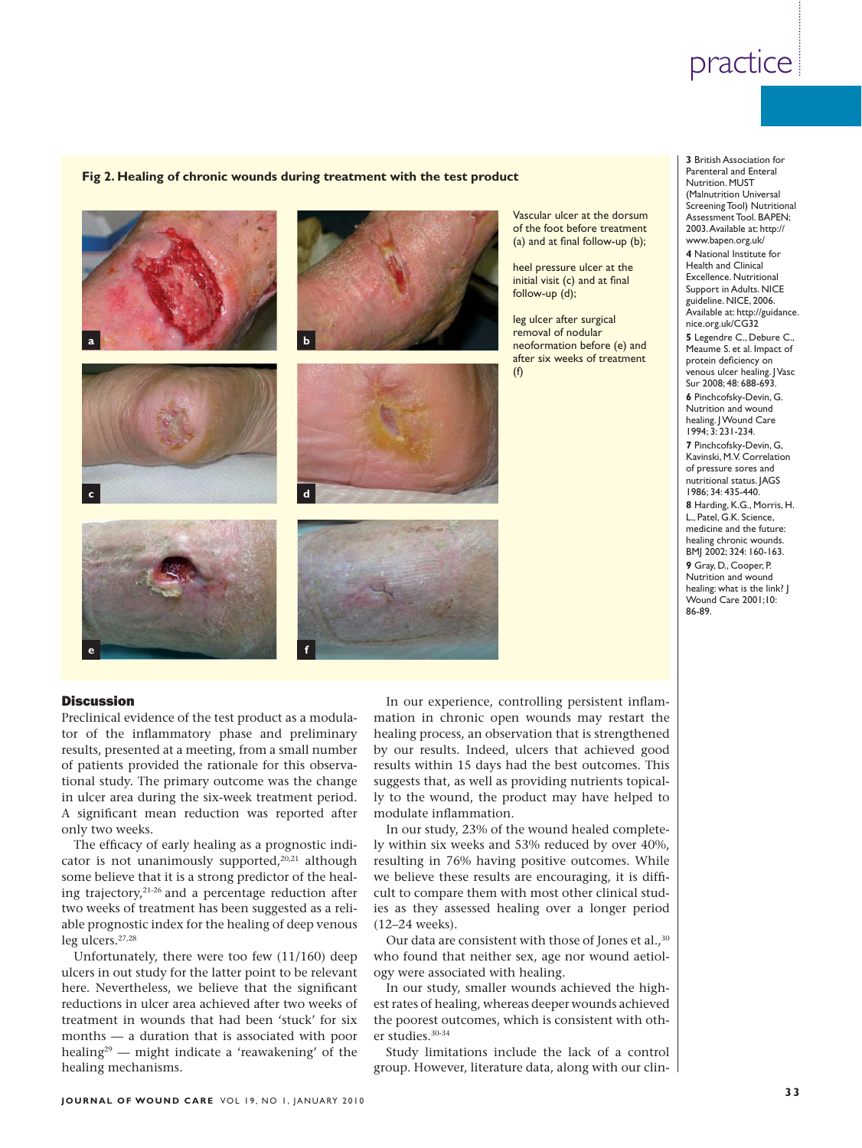### **Fig 2. Healing of chronic wounds during treatment with the test product**



Vascular ulcer at the dorsum of the foot before treatment (a) and at final follow-up  $(b)$ ;

heel pressure ulcer at the initial visit  $(c)$  and at final follow-up (d);

leg ulcer after surgical removal of nodular neoformation before (e) and after six weeks of treatment  $(f)$ 

**3** British Association for Parenteral and Enteral Nutrition. MUST (Malnutrition Universal Screening Tool) Nutritional Assessment Tool. BAPEN; 2003. Available at: http:// www.bapen.org.uk/

**4** National Institute for Health and Clinical Excellence. Nutritional Support in Adults. NICE guideline. NICE, 2006. Available at: http://guidance. nice.org.uk/CG32 **5** Legendre C., Debure C., Meaume S. et al. Impact of protein deficiency on venous ulcer healing. | Vasc Sur 2008; 48: 688-693. **6** Pinchcofsky-Devin, G. Nutrition and wound healing. J Wound Care 1994; 3: 231-234. **7** Pinchcofsky-Devin, G, Kavinski, M.V. Correlation of pressure sores and nutritional status. JAGS 1986; 34: 435-440. **8** Harding, K.G., Morris, H. L., Patel, G.K. Science, medicine and the future: healing chronic wounds. BMJ 2002; 324: 160-163. **9** Gray, D., Cooper, P. Nutrition and wound healing: what is the link? J Wound Care 2001;10: 86-89.

### **Discussion**

Preclinical evidence of the test product as a modulator of the inflammatory phase and preliminary results, presented at a meeting, from a small number of patients provided the rationale for this observational study. The primary outcome was the change in ulcer area during the six-week treatment period. A significant mean reduction was reported after only two weeks.

The efficacy of early healing as a prognostic indicator is not unanimously supported, $20,21$  although some believe that it is a strong predictor of the healing trajectory,21-26 and a percentage reduction after two weeks of treatment has been suggested as a reliable prognostic index for the healing of deep venous leg ulcers.27,28

Unfortunately, there were too few (11/160) deep ulcers in out study for the latter point to be relevant here. Nevertheless, we believe that the significant reductions in ulcer area achieved after two weeks of treatment in wounds that had been 'stuck' for six months — a duration that is associated with poor healing<sup>29</sup> — might indicate a 'reawakening' of the healing mechanisms.

In our experience, controlling persistent inflammation in chronic open wounds may restart the healing process, an observation that is strengthened by our results. Indeed, ulcers that achieved good results within 15 days had the best outcomes. This suggests that, as well as providing nutrients topically to the wound, the product may have helped to modulate inflammation.

In our study, 23% of the wound healed completely within six weeks and 53% reduced by over 40%, resulting in 76% having positive outcomes. While we believe these results are encouraging, it is difficult to compare them with most other clinical studies as they assessed healing over a longer period (12–24 weeks).

Our data are consistent with those of Jones et al.,<sup>30</sup> who found that neither sex, age nor wound aetiology were associated with healing.

In our study, smaller wounds achieved the highest rates of healing, whereas deeper wounds achieved the poorest outcomes, which is consistent with other studies.30-34

Study limitations include the lack of a control group. However, literature data, along with our clin-